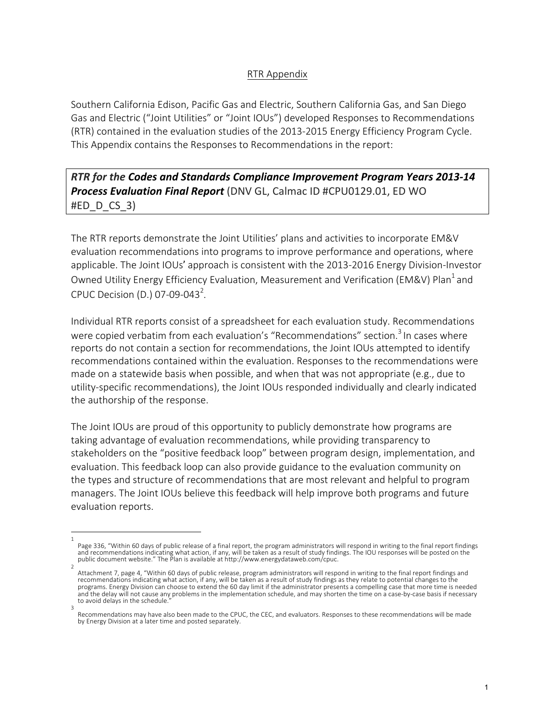## RTR Appendix

Southern California Edison, Pacific Gas and Electric, Southern California Gas, and San Diego Gas and Electric ("Joint Utilities" or "Joint IOUs") developed Responses to Recommendations (RTR) contained in the evaluation studies of the 2013-2015 Energy Efficiency Program Cycle. This Appendix contains the Responses to Recommendations in the report:

**RTR** for the Codes and Standards Compliance Improvement Program Years 2013-14 **Process Evaluation Final Report** (DNV GL, Calmac ID #CPU0129.01, ED WO  $#ED$  D CS 3)

The RTR reports demonstrate the Joint Utilities' plans and activities to incorporate EM&V evaluation recommendations into programs to improve performance and operations, where applicable. The Joint IOUs' approach is consistent with the 2013-2016 Energy Division-Investor Owned Utility Energy Efficiency Evaluation, Measurement and Verification (EM&V) Plan<sup>1</sup> and CPUC Decision (D.) 07-09-043<sup>2</sup>.

Individual RTR reports consist of a spreadsheet for each evaluation study. Recommendations were copied verbatim from each evaluation's "Recommendations" section.<sup>3</sup> In cases where reports do not contain a section for recommendations, the Joint IOUs attempted to identify recommendations contained within the evaluation. Responses to the recommendations were made on a statewide basis when possible, and when that was not appropriate (e.g., due to utility-specific recommendations), the Joint IOUs responded individually and clearly indicated the authorship of the response.

The Joint IOUs are proud of this opportunity to publicly demonstrate how programs are taking advantage of evaluation recommendations, while providing transparency to stakeholders on the "positive feedback loop" between program design, implementation, and evaluation. This feedback loop can also provide guidance to the evaluation community on the types and structure of recommendations that are most relevant and helpful to program managers. The Joint IOUs believe this feedback will help improve both programs and future evaluation reports.

<sup>1</sup> Page 336, "Within 60 days of public release of a final report, the program administrators will respond in writing to the final report findings and recommendations indicating what action, if any, will be taken as a result of study findings. The IOU responses will be posted on the<br>public document website." The Plan is available at http://www.energydataweb.com/cpuc.

<sup>2</sup> Attachment 7, page 4, "Within 60 days of public release, program administrators will respond in writing to the final report findings and recommendations indicating what action, if any, will be taken as a result of study findings as they relate to potential changes to the programs. Energy Division can choose to extend the 60 day limit if the administrator presents a compelling case that more time is needed and the delay will not cause any problems in the implementation schedule, and may shorten the time on a case-by-case basis if necessary to avoid delays in the schedule.

<sup>3</sup> Recommendations may have also been made to the CPUC, the CEC, and evaluators. Responses to these recommendations will be made by Energy Division at a later time and posted separately.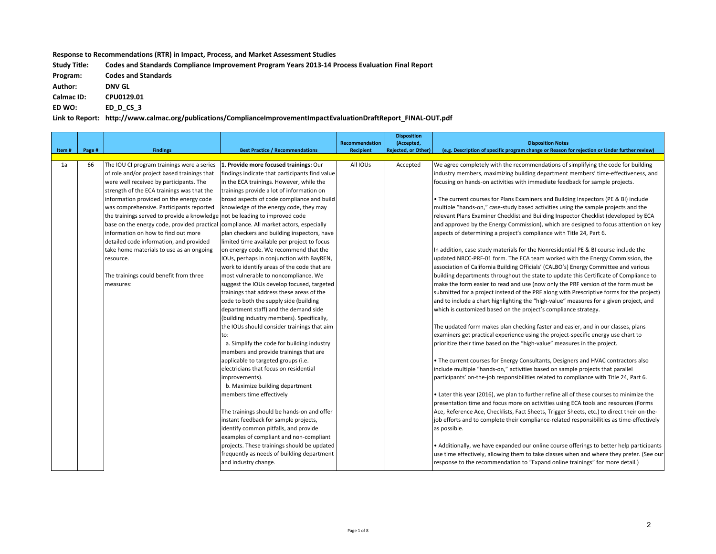Response to Recommendations (RTR) in Impact, Process, and Market Assessment Studies

| <b>Study Title:</b> | Codes and Standards Compliance Improvement Program Years 2013-14 Process Evaluation Final Report |
|---------------------|--------------------------------------------------------------------------------------------------|
| Program:            | <b>Codes and Standards</b>                                                                       |
| Author:             | <b>DNV GL</b>                                                                                    |
| <b>Calmac ID:</b>   | CPU0129.01                                                                                       |
| ED WO:              | ED D CS 3                                                                                        |
|                     |                                                                                                  |

Link to Report: http://www.calmac.org/publications/ComplianceImprovementImpactEvaluationDraftReport\_FINAL-OUT.pdf

| <b>Rejected, or Other)</b><br>(e.g. Description of specific program change or Reason for rejection or Under further review)<br>Page #<br><b>Findings</b><br><b>Best Practice / Recommendations</b><br><b>Recipient</b><br>Item#<br>1a<br>66<br>The IOU CI program trainings were a series<br>1. Provide more focused trainings: Our<br>All IOUs<br>Accepted<br>We agree completely with the recommendations of simplifying the code for building<br>industry members, maximizing building department members' time-effectiveness, and<br>of role and/or project based trainings that<br>findings indicate that participants find value<br>were well received by participants. The<br>in the ECA trainings. However, while the<br>focusing on hands-on activities with immediate feedback for sample projects.<br>strength of the ECA trainings was that the<br>trainings provide a lot of information on<br>• The current courses for Plans Examiners and Building Inspectors (PE & BI) include<br>information provided on the energy code<br>broad aspects of code compliance and build<br>multiple "hands-on," case-study based activities using the sample projects and the<br>was comprehensive. Participants reported<br>knowledge of the energy code, they may<br>the trainings served to provide a knowledge not be leading to improved code<br>relevant Plans Examiner Checklist and Building Inspector Checklist (developed by ECA<br>base on the energy code, provided practical<br>compliance. All market actors, especially<br>information on how to find out more<br>plan checkers and building inspectors, have<br>aspects of determining a project's compliance with Title 24, Part 6.<br>detailed code information, and provided<br>limited time available per project to focus<br>take home materials to use as an ongoing<br>on energy code. We recommend that the<br>In addition, case study materials for the Nonresidential PE & BI course include the<br>updated NRCC-PRF-01 form. The ECA team worked with the Energy Commission, the<br>IOUs, perhaps in conjunction with BayREN,<br>resource.<br>work to identify areas of the code that are<br>association of California Building Officials' (CALBO's) Energy Committee and various<br>The trainings could benefit from three<br>most vulnerable to noncompliance. We<br>building departments throughout the state to update this Certificate of Compliance to<br>suggest the IOUs develop focused, targeted<br>make the form easier to read and use (now only the PRF version of the form must be<br>measures:<br>trainings that address these areas of the<br>submitted for a project instead of the PRF along with Prescriptive forms for the project)<br>code to both the supply side (building<br>and to include a chart highlighting the "high-value" measures for a given project, and<br>department staff) and the demand side<br>which is customized based on the project's compliance strategy.<br>(building industry members). Specifically,<br>the IOUs should consider trainings that aim<br>The updated form makes plan checking faster and easier, and in our classes, plans<br>examiners get practical experience using the project-specific energy use chart to<br>to:<br>prioritize their time based on the "high-value" measures in the project.<br>a. Simplify the code for building industry<br>members and provide trainings that are<br>• The current courses for Energy Consultants, Designers and HVAC contractors also<br>applicable to targeted groups (i.e.<br>electricians that focus on residential<br>include multiple "hands-on," activities based on sample projects that parallel<br>participants' on-the-job responsibilities related to compliance with Title 24, Part 6.<br>improvements).<br>b. Maximize building department<br>• Later this year (2016), we plan to further refine all of these courses to minimize the<br>members time effectively<br>presentation time and focus more on activities using ECA tools and resources (Forms<br>The trainings should be hands-on and offer<br>Ace, Reference Ace, Checklists, Fact Sheets, Trigger Sheets, etc.) to direct their on-the-<br>instant feedback for sample projects,<br>job efforts and to complete their compliance-related responsibilities as time-effectively<br>identify common pitfalls, and provide<br>as possible.<br>examples of compliant and non-compliant<br>projects. These trainings should be updated<br>frequently as needs of building department |  |                      |                       | <b>Disposition</b> |                                                                                          |
|------------------------------------------------------------------------------------------------------------------------------------------------------------------------------------------------------------------------------------------------------------------------------------------------------------------------------------------------------------------------------------------------------------------------------------------------------------------------------------------------------------------------------------------------------------------------------------------------------------------------------------------------------------------------------------------------------------------------------------------------------------------------------------------------------------------------------------------------------------------------------------------------------------------------------------------------------------------------------------------------------------------------------------------------------------------------------------------------------------------------------------------------------------------------------------------------------------------------------------------------------------------------------------------------------------------------------------------------------------------------------------------------------------------------------------------------------------------------------------------------------------------------------------------------------------------------------------------------------------------------------------------------------------------------------------------------------------------------------------------------------------------------------------------------------------------------------------------------------------------------------------------------------------------------------------------------------------------------------------------------------------------------------------------------------------------------------------------------------------------------------------------------------------------------------------------------------------------------------------------------------------------------------------------------------------------------------------------------------------------------------------------------------------------------------------------------------------------------------------------------------------------------------------------------------------------------------------------------------------------------------------------------------------------------------------------------------------------------------------------------------------------------------------------------------------------------------------------------------------------------------------------------------------------------------------------------------------------------------------------------------------------------------------------------------------------------------------------------------------------------------------------------------------------------------------------------------------------------------------------------------------------------------------------------------------------------------------------------------------------------------------------------------------------------------------------------------------------------------------------------------------------------------------------------------------------------------------------------------------------------------------------------------------------------------------------------------------------------------------------------------------------------------------------------------------------------------------------------------------------------------------------------------------------------------------------------------------------------------------------------------------------------------------------------------------------------------------------------------------------------------------------------------------------------------------------------------------------------------------------------------------------------------------------------------------------------------------------------------------------------------------------------------------------------------------------------------------------------------------------------------------------------------------------------|--|----------------------|-----------------------|--------------------|------------------------------------------------------------------------------------------|
|                                                                                                                                                                                                                                                                                                                                                                                                                                                                                                                                                                                                                                                                                                                                                                                                                                                                                                                                                                                                                                                                                                                                                                                                                                                                                                                                                                                                                                                                                                                                                                                                                                                                                                                                                                                                                                                                                                                                                                                                                                                                                                                                                                                                                                                                                                                                                                                                                                                                                                                                                                                                                                                                                                                                                                                                                                                                                                                                                                                                                                                                                                                                                                                                                                                                                                                                                                                                                                                                                                                                                                                                                                                                                                                                                                                                                                                                                                                                                                                                                                                                                                                                                                                                                                                                                                                                                                                                                                                                                                                                                |  |                      | <b>Recommendation</b> | (Accepted,         | <b>Disposition Notes</b>                                                                 |
|                                                                                                                                                                                                                                                                                                                                                                                                                                                                                                                                                                                                                                                                                                                                                                                                                                                                                                                                                                                                                                                                                                                                                                                                                                                                                                                                                                                                                                                                                                                                                                                                                                                                                                                                                                                                                                                                                                                                                                                                                                                                                                                                                                                                                                                                                                                                                                                                                                                                                                                                                                                                                                                                                                                                                                                                                                                                                                                                                                                                                                                                                                                                                                                                                                                                                                                                                                                                                                                                                                                                                                                                                                                                                                                                                                                                                                                                                                                                                                                                                                                                                                                                                                                                                                                                                                                                                                                                                                                                                                                                                |  |                      |                       |                    |                                                                                          |
|                                                                                                                                                                                                                                                                                                                                                                                                                                                                                                                                                                                                                                                                                                                                                                                                                                                                                                                                                                                                                                                                                                                                                                                                                                                                                                                                                                                                                                                                                                                                                                                                                                                                                                                                                                                                                                                                                                                                                                                                                                                                                                                                                                                                                                                                                                                                                                                                                                                                                                                                                                                                                                                                                                                                                                                                                                                                                                                                                                                                                                                                                                                                                                                                                                                                                                                                                                                                                                                                                                                                                                                                                                                                                                                                                                                                                                                                                                                                                                                                                                                                                                                                                                                                                                                                                                                                                                                                                                                                                                                                                |  |                      |                       |                    |                                                                                          |
|                                                                                                                                                                                                                                                                                                                                                                                                                                                                                                                                                                                                                                                                                                                                                                                                                                                                                                                                                                                                                                                                                                                                                                                                                                                                                                                                                                                                                                                                                                                                                                                                                                                                                                                                                                                                                                                                                                                                                                                                                                                                                                                                                                                                                                                                                                                                                                                                                                                                                                                                                                                                                                                                                                                                                                                                                                                                                                                                                                                                                                                                                                                                                                                                                                                                                                                                                                                                                                                                                                                                                                                                                                                                                                                                                                                                                                                                                                                                                                                                                                                                                                                                                                                                                                                                                                                                                                                                                                                                                                                                                |  |                      |                       |                    |                                                                                          |
|                                                                                                                                                                                                                                                                                                                                                                                                                                                                                                                                                                                                                                                                                                                                                                                                                                                                                                                                                                                                                                                                                                                                                                                                                                                                                                                                                                                                                                                                                                                                                                                                                                                                                                                                                                                                                                                                                                                                                                                                                                                                                                                                                                                                                                                                                                                                                                                                                                                                                                                                                                                                                                                                                                                                                                                                                                                                                                                                                                                                                                                                                                                                                                                                                                                                                                                                                                                                                                                                                                                                                                                                                                                                                                                                                                                                                                                                                                                                                                                                                                                                                                                                                                                                                                                                                                                                                                                                                                                                                                                                                |  |                      |                       |                    |                                                                                          |
|                                                                                                                                                                                                                                                                                                                                                                                                                                                                                                                                                                                                                                                                                                                                                                                                                                                                                                                                                                                                                                                                                                                                                                                                                                                                                                                                                                                                                                                                                                                                                                                                                                                                                                                                                                                                                                                                                                                                                                                                                                                                                                                                                                                                                                                                                                                                                                                                                                                                                                                                                                                                                                                                                                                                                                                                                                                                                                                                                                                                                                                                                                                                                                                                                                                                                                                                                                                                                                                                                                                                                                                                                                                                                                                                                                                                                                                                                                                                                                                                                                                                                                                                                                                                                                                                                                                                                                                                                                                                                                                                                |  |                      |                       |                    |                                                                                          |
|                                                                                                                                                                                                                                                                                                                                                                                                                                                                                                                                                                                                                                                                                                                                                                                                                                                                                                                                                                                                                                                                                                                                                                                                                                                                                                                                                                                                                                                                                                                                                                                                                                                                                                                                                                                                                                                                                                                                                                                                                                                                                                                                                                                                                                                                                                                                                                                                                                                                                                                                                                                                                                                                                                                                                                                                                                                                                                                                                                                                                                                                                                                                                                                                                                                                                                                                                                                                                                                                                                                                                                                                                                                                                                                                                                                                                                                                                                                                                                                                                                                                                                                                                                                                                                                                                                                                                                                                                                                                                                                                                |  |                      |                       |                    |                                                                                          |
|                                                                                                                                                                                                                                                                                                                                                                                                                                                                                                                                                                                                                                                                                                                                                                                                                                                                                                                                                                                                                                                                                                                                                                                                                                                                                                                                                                                                                                                                                                                                                                                                                                                                                                                                                                                                                                                                                                                                                                                                                                                                                                                                                                                                                                                                                                                                                                                                                                                                                                                                                                                                                                                                                                                                                                                                                                                                                                                                                                                                                                                                                                                                                                                                                                                                                                                                                                                                                                                                                                                                                                                                                                                                                                                                                                                                                                                                                                                                                                                                                                                                                                                                                                                                                                                                                                                                                                                                                                                                                                                                                |  |                      |                       |                    |                                                                                          |
|                                                                                                                                                                                                                                                                                                                                                                                                                                                                                                                                                                                                                                                                                                                                                                                                                                                                                                                                                                                                                                                                                                                                                                                                                                                                                                                                                                                                                                                                                                                                                                                                                                                                                                                                                                                                                                                                                                                                                                                                                                                                                                                                                                                                                                                                                                                                                                                                                                                                                                                                                                                                                                                                                                                                                                                                                                                                                                                                                                                                                                                                                                                                                                                                                                                                                                                                                                                                                                                                                                                                                                                                                                                                                                                                                                                                                                                                                                                                                                                                                                                                                                                                                                                                                                                                                                                                                                                                                                                                                                                                                |  |                      |                       |                    |                                                                                          |
|                                                                                                                                                                                                                                                                                                                                                                                                                                                                                                                                                                                                                                                                                                                                                                                                                                                                                                                                                                                                                                                                                                                                                                                                                                                                                                                                                                                                                                                                                                                                                                                                                                                                                                                                                                                                                                                                                                                                                                                                                                                                                                                                                                                                                                                                                                                                                                                                                                                                                                                                                                                                                                                                                                                                                                                                                                                                                                                                                                                                                                                                                                                                                                                                                                                                                                                                                                                                                                                                                                                                                                                                                                                                                                                                                                                                                                                                                                                                                                                                                                                                                                                                                                                                                                                                                                                                                                                                                                                                                                                                                |  |                      |                       |                    | and approved by the Energy Commission), which are designed to focus attention on key     |
|                                                                                                                                                                                                                                                                                                                                                                                                                                                                                                                                                                                                                                                                                                                                                                                                                                                                                                                                                                                                                                                                                                                                                                                                                                                                                                                                                                                                                                                                                                                                                                                                                                                                                                                                                                                                                                                                                                                                                                                                                                                                                                                                                                                                                                                                                                                                                                                                                                                                                                                                                                                                                                                                                                                                                                                                                                                                                                                                                                                                                                                                                                                                                                                                                                                                                                                                                                                                                                                                                                                                                                                                                                                                                                                                                                                                                                                                                                                                                                                                                                                                                                                                                                                                                                                                                                                                                                                                                                                                                                                                                |  |                      |                       |                    |                                                                                          |
|                                                                                                                                                                                                                                                                                                                                                                                                                                                                                                                                                                                                                                                                                                                                                                                                                                                                                                                                                                                                                                                                                                                                                                                                                                                                                                                                                                                                                                                                                                                                                                                                                                                                                                                                                                                                                                                                                                                                                                                                                                                                                                                                                                                                                                                                                                                                                                                                                                                                                                                                                                                                                                                                                                                                                                                                                                                                                                                                                                                                                                                                                                                                                                                                                                                                                                                                                                                                                                                                                                                                                                                                                                                                                                                                                                                                                                                                                                                                                                                                                                                                                                                                                                                                                                                                                                                                                                                                                                                                                                                                                |  |                      |                       |                    |                                                                                          |
|                                                                                                                                                                                                                                                                                                                                                                                                                                                                                                                                                                                                                                                                                                                                                                                                                                                                                                                                                                                                                                                                                                                                                                                                                                                                                                                                                                                                                                                                                                                                                                                                                                                                                                                                                                                                                                                                                                                                                                                                                                                                                                                                                                                                                                                                                                                                                                                                                                                                                                                                                                                                                                                                                                                                                                                                                                                                                                                                                                                                                                                                                                                                                                                                                                                                                                                                                                                                                                                                                                                                                                                                                                                                                                                                                                                                                                                                                                                                                                                                                                                                                                                                                                                                                                                                                                                                                                                                                                                                                                                                                |  |                      |                       |                    |                                                                                          |
|                                                                                                                                                                                                                                                                                                                                                                                                                                                                                                                                                                                                                                                                                                                                                                                                                                                                                                                                                                                                                                                                                                                                                                                                                                                                                                                                                                                                                                                                                                                                                                                                                                                                                                                                                                                                                                                                                                                                                                                                                                                                                                                                                                                                                                                                                                                                                                                                                                                                                                                                                                                                                                                                                                                                                                                                                                                                                                                                                                                                                                                                                                                                                                                                                                                                                                                                                                                                                                                                                                                                                                                                                                                                                                                                                                                                                                                                                                                                                                                                                                                                                                                                                                                                                                                                                                                                                                                                                                                                                                                                                |  |                      |                       |                    |                                                                                          |
|                                                                                                                                                                                                                                                                                                                                                                                                                                                                                                                                                                                                                                                                                                                                                                                                                                                                                                                                                                                                                                                                                                                                                                                                                                                                                                                                                                                                                                                                                                                                                                                                                                                                                                                                                                                                                                                                                                                                                                                                                                                                                                                                                                                                                                                                                                                                                                                                                                                                                                                                                                                                                                                                                                                                                                                                                                                                                                                                                                                                                                                                                                                                                                                                                                                                                                                                                                                                                                                                                                                                                                                                                                                                                                                                                                                                                                                                                                                                                                                                                                                                                                                                                                                                                                                                                                                                                                                                                                                                                                                                                |  |                      |                       |                    |                                                                                          |
|                                                                                                                                                                                                                                                                                                                                                                                                                                                                                                                                                                                                                                                                                                                                                                                                                                                                                                                                                                                                                                                                                                                                                                                                                                                                                                                                                                                                                                                                                                                                                                                                                                                                                                                                                                                                                                                                                                                                                                                                                                                                                                                                                                                                                                                                                                                                                                                                                                                                                                                                                                                                                                                                                                                                                                                                                                                                                                                                                                                                                                                                                                                                                                                                                                                                                                                                                                                                                                                                                                                                                                                                                                                                                                                                                                                                                                                                                                                                                                                                                                                                                                                                                                                                                                                                                                                                                                                                                                                                                                                                                |  |                      |                       |                    |                                                                                          |
|                                                                                                                                                                                                                                                                                                                                                                                                                                                                                                                                                                                                                                                                                                                                                                                                                                                                                                                                                                                                                                                                                                                                                                                                                                                                                                                                                                                                                                                                                                                                                                                                                                                                                                                                                                                                                                                                                                                                                                                                                                                                                                                                                                                                                                                                                                                                                                                                                                                                                                                                                                                                                                                                                                                                                                                                                                                                                                                                                                                                                                                                                                                                                                                                                                                                                                                                                                                                                                                                                                                                                                                                                                                                                                                                                                                                                                                                                                                                                                                                                                                                                                                                                                                                                                                                                                                                                                                                                                                                                                                                                |  |                      |                       |                    |                                                                                          |
|                                                                                                                                                                                                                                                                                                                                                                                                                                                                                                                                                                                                                                                                                                                                                                                                                                                                                                                                                                                                                                                                                                                                                                                                                                                                                                                                                                                                                                                                                                                                                                                                                                                                                                                                                                                                                                                                                                                                                                                                                                                                                                                                                                                                                                                                                                                                                                                                                                                                                                                                                                                                                                                                                                                                                                                                                                                                                                                                                                                                                                                                                                                                                                                                                                                                                                                                                                                                                                                                                                                                                                                                                                                                                                                                                                                                                                                                                                                                                                                                                                                                                                                                                                                                                                                                                                                                                                                                                                                                                                                                                |  |                      |                       |                    |                                                                                          |
|                                                                                                                                                                                                                                                                                                                                                                                                                                                                                                                                                                                                                                                                                                                                                                                                                                                                                                                                                                                                                                                                                                                                                                                                                                                                                                                                                                                                                                                                                                                                                                                                                                                                                                                                                                                                                                                                                                                                                                                                                                                                                                                                                                                                                                                                                                                                                                                                                                                                                                                                                                                                                                                                                                                                                                                                                                                                                                                                                                                                                                                                                                                                                                                                                                                                                                                                                                                                                                                                                                                                                                                                                                                                                                                                                                                                                                                                                                                                                                                                                                                                                                                                                                                                                                                                                                                                                                                                                                                                                                                                                |  |                      |                       |                    |                                                                                          |
|                                                                                                                                                                                                                                                                                                                                                                                                                                                                                                                                                                                                                                                                                                                                                                                                                                                                                                                                                                                                                                                                                                                                                                                                                                                                                                                                                                                                                                                                                                                                                                                                                                                                                                                                                                                                                                                                                                                                                                                                                                                                                                                                                                                                                                                                                                                                                                                                                                                                                                                                                                                                                                                                                                                                                                                                                                                                                                                                                                                                                                                                                                                                                                                                                                                                                                                                                                                                                                                                                                                                                                                                                                                                                                                                                                                                                                                                                                                                                                                                                                                                                                                                                                                                                                                                                                                                                                                                                                                                                                                                                |  |                      |                       |                    |                                                                                          |
|                                                                                                                                                                                                                                                                                                                                                                                                                                                                                                                                                                                                                                                                                                                                                                                                                                                                                                                                                                                                                                                                                                                                                                                                                                                                                                                                                                                                                                                                                                                                                                                                                                                                                                                                                                                                                                                                                                                                                                                                                                                                                                                                                                                                                                                                                                                                                                                                                                                                                                                                                                                                                                                                                                                                                                                                                                                                                                                                                                                                                                                                                                                                                                                                                                                                                                                                                                                                                                                                                                                                                                                                                                                                                                                                                                                                                                                                                                                                                                                                                                                                                                                                                                                                                                                                                                                                                                                                                                                                                                                                                |  |                      |                       |                    |                                                                                          |
|                                                                                                                                                                                                                                                                                                                                                                                                                                                                                                                                                                                                                                                                                                                                                                                                                                                                                                                                                                                                                                                                                                                                                                                                                                                                                                                                                                                                                                                                                                                                                                                                                                                                                                                                                                                                                                                                                                                                                                                                                                                                                                                                                                                                                                                                                                                                                                                                                                                                                                                                                                                                                                                                                                                                                                                                                                                                                                                                                                                                                                                                                                                                                                                                                                                                                                                                                                                                                                                                                                                                                                                                                                                                                                                                                                                                                                                                                                                                                                                                                                                                                                                                                                                                                                                                                                                                                                                                                                                                                                                                                |  |                      |                       |                    |                                                                                          |
|                                                                                                                                                                                                                                                                                                                                                                                                                                                                                                                                                                                                                                                                                                                                                                                                                                                                                                                                                                                                                                                                                                                                                                                                                                                                                                                                                                                                                                                                                                                                                                                                                                                                                                                                                                                                                                                                                                                                                                                                                                                                                                                                                                                                                                                                                                                                                                                                                                                                                                                                                                                                                                                                                                                                                                                                                                                                                                                                                                                                                                                                                                                                                                                                                                                                                                                                                                                                                                                                                                                                                                                                                                                                                                                                                                                                                                                                                                                                                                                                                                                                                                                                                                                                                                                                                                                                                                                                                                                                                                                                                |  |                      |                       |                    |                                                                                          |
|                                                                                                                                                                                                                                                                                                                                                                                                                                                                                                                                                                                                                                                                                                                                                                                                                                                                                                                                                                                                                                                                                                                                                                                                                                                                                                                                                                                                                                                                                                                                                                                                                                                                                                                                                                                                                                                                                                                                                                                                                                                                                                                                                                                                                                                                                                                                                                                                                                                                                                                                                                                                                                                                                                                                                                                                                                                                                                                                                                                                                                                                                                                                                                                                                                                                                                                                                                                                                                                                                                                                                                                                                                                                                                                                                                                                                                                                                                                                                                                                                                                                                                                                                                                                                                                                                                                                                                                                                                                                                                                                                |  |                      |                       |                    |                                                                                          |
|                                                                                                                                                                                                                                                                                                                                                                                                                                                                                                                                                                                                                                                                                                                                                                                                                                                                                                                                                                                                                                                                                                                                                                                                                                                                                                                                                                                                                                                                                                                                                                                                                                                                                                                                                                                                                                                                                                                                                                                                                                                                                                                                                                                                                                                                                                                                                                                                                                                                                                                                                                                                                                                                                                                                                                                                                                                                                                                                                                                                                                                                                                                                                                                                                                                                                                                                                                                                                                                                                                                                                                                                                                                                                                                                                                                                                                                                                                                                                                                                                                                                                                                                                                                                                                                                                                                                                                                                                                                                                                                                                |  |                      |                       |                    |                                                                                          |
|                                                                                                                                                                                                                                                                                                                                                                                                                                                                                                                                                                                                                                                                                                                                                                                                                                                                                                                                                                                                                                                                                                                                                                                                                                                                                                                                                                                                                                                                                                                                                                                                                                                                                                                                                                                                                                                                                                                                                                                                                                                                                                                                                                                                                                                                                                                                                                                                                                                                                                                                                                                                                                                                                                                                                                                                                                                                                                                                                                                                                                                                                                                                                                                                                                                                                                                                                                                                                                                                                                                                                                                                                                                                                                                                                                                                                                                                                                                                                                                                                                                                                                                                                                                                                                                                                                                                                                                                                                                                                                                                                |  |                      |                       |                    |                                                                                          |
|                                                                                                                                                                                                                                                                                                                                                                                                                                                                                                                                                                                                                                                                                                                                                                                                                                                                                                                                                                                                                                                                                                                                                                                                                                                                                                                                                                                                                                                                                                                                                                                                                                                                                                                                                                                                                                                                                                                                                                                                                                                                                                                                                                                                                                                                                                                                                                                                                                                                                                                                                                                                                                                                                                                                                                                                                                                                                                                                                                                                                                                                                                                                                                                                                                                                                                                                                                                                                                                                                                                                                                                                                                                                                                                                                                                                                                                                                                                                                                                                                                                                                                                                                                                                                                                                                                                                                                                                                                                                                                                                                |  |                      |                       |                    |                                                                                          |
|                                                                                                                                                                                                                                                                                                                                                                                                                                                                                                                                                                                                                                                                                                                                                                                                                                                                                                                                                                                                                                                                                                                                                                                                                                                                                                                                                                                                                                                                                                                                                                                                                                                                                                                                                                                                                                                                                                                                                                                                                                                                                                                                                                                                                                                                                                                                                                                                                                                                                                                                                                                                                                                                                                                                                                                                                                                                                                                                                                                                                                                                                                                                                                                                                                                                                                                                                                                                                                                                                                                                                                                                                                                                                                                                                                                                                                                                                                                                                                                                                                                                                                                                                                                                                                                                                                                                                                                                                                                                                                                                                |  |                      |                       |                    |                                                                                          |
|                                                                                                                                                                                                                                                                                                                                                                                                                                                                                                                                                                                                                                                                                                                                                                                                                                                                                                                                                                                                                                                                                                                                                                                                                                                                                                                                                                                                                                                                                                                                                                                                                                                                                                                                                                                                                                                                                                                                                                                                                                                                                                                                                                                                                                                                                                                                                                                                                                                                                                                                                                                                                                                                                                                                                                                                                                                                                                                                                                                                                                                                                                                                                                                                                                                                                                                                                                                                                                                                                                                                                                                                                                                                                                                                                                                                                                                                                                                                                                                                                                                                                                                                                                                                                                                                                                                                                                                                                                                                                                                                                |  |                      |                       |                    |                                                                                          |
|                                                                                                                                                                                                                                                                                                                                                                                                                                                                                                                                                                                                                                                                                                                                                                                                                                                                                                                                                                                                                                                                                                                                                                                                                                                                                                                                                                                                                                                                                                                                                                                                                                                                                                                                                                                                                                                                                                                                                                                                                                                                                                                                                                                                                                                                                                                                                                                                                                                                                                                                                                                                                                                                                                                                                                                                                                                                                                                                                                                                                                                                                                                                                                                                                                                                                                                                                                                                                                                                                                                                                                                                                                                                                                                                                                                                                                                                                                                                                                                                                                                                                                                                                                                                                                                                                                                                                                                                                                                                                                                                                |  |                      |                       |                    |                                                                                          |
|                                                                                                                                                                                                                                                                                                                                                                                                                                                                                                                                                                                                                                                                                                                                                                                                                                                                                                                                                                                                                                                                                                                                                                                                                                                                                                                                                                                                                                                                                                                                                                                                                                                                                                                                                                                                                                                                                                                                                                                                                                                                                                                                                                                                                                                                                                                                                                                                                                                                                                                                                                                                                                                                                                                                                                                                                                                                                                                                                                                                                                                                                                                                                                                                                                                                                                                                                                                                                                                                                                                                                                                                                                                                                                                                                                                                                                                                                                                                                                                                                                                                                                                                                                                                                                                                                                                                                                                                                                                                                                                                                |  |                      |                       |                    |                                                                                          |
|                                                                                                                                                                                                                                                                                                                                                                                                                                                                                                                                                                                                                                                                                                                                                                                                                                                                                                                                                                                                                                                                                                                                                                                                                                                                                                                                                                                                                                                                                                                                                                                                                                                                                                                                                                                                                                                                                                                                                                                                                                                                                                                                                                                                                                                                                                                                                                                                                                                                                                                                                                                                                                                                                                                                                                                                                                                                                                                                                                                                                                                                                                                                                                                                                                                                                                                                                                                                                                                                                                                                                                                                                                                                                                                                                                                                                                                                                                                                                                                                                                                                                                                                                                                                                                                                                                                                                                                                                                                                                                                                                |  |                      |                       |                    |                                                                                          |
|                                                                                                                                                                                                                                                                                                                                                                                                                                                                                                                                                                                                                                                                                                                                                                                                                                                                                                                                                                                                                                                                                                                                                                                                                                                                                                                                                                                                                                                                                                                                                                                                                                                                                                                                                                                                                                                                                                                                                                                                                                                                                                                                                                                                                                                                                                                                                                                                                                                                                                                                                                                                                                                                                                                                                                                                                                                                                                                                                                                                                                                                                                                                                                                                                                                                                                                                                                                                                                                                                                                                                                                                                                                                                                                                                                                                                                                                                                                                                                                                                                                                                                                                                                                                                                                                                                                                                                                                                                                                                                                                                |  |                      |                       |                    |                                                                                          |
|                                                                                                                                                                                                                                                                                                                                                                                                                                                                                                                                                                                                                                                                                                                                                                                                                                                                                                                                                                                                                                                                                                                                                                                                                                                                                                                                                                                                                                                                                                                                                                                                                                                                                                                                                                                                                                                                                                                                                                                                                                                                                                                                                                                                                                                                                                                                                                                                                                                                                                                                                                                                                                                                                                                                                                                                                                                                                                                                                                                                                                                                                                                                                                                                                                                                                                                                                                                                                                                                                                                                                                                                                                                                                                                                                                                                                                                                                                                                                                                                                                                                                                                                                                                                                                                                                                                                                                                                                                                                                                                                                |  |                      |                       |                    |                                                                                          |
|                                                                                                                                                                                                                                                                                                                                                                                                                                                                                                                                                                                                                                                                                                                                                                                                                                                                                                                                                                                                                                                                                                                                                                                                                                                                                                                                                                                                                                                                                                                                                                                                                                                                                                                                                                                                                                                                                                                                                                                                                                                                                                                                                                                                                                                                                                                                                                                                                                                                                                                                                                                                                                                                                                                                                                                                                                                                                                                                                                                                                                                                                                                                                                                                                                                                                                                                                                                                                                                                                                                                                                                                                                                                                                                                                                                                                                                                                                                                                                                                                                                                                                                                                                                                                                                                                                                                                                                                                                                                                                                                                |  |                      |                       |                    |                                                                                          |
|                                                                                                                                                                                                                                                                                                                                                                                                                                                                                                                                                                                                                                                                                                                                                                                                                                                                                                                                                                                                                                                                                                                                                                                                                                                                                                                                                                                                                                                                                                                                                                                                                                                                                                                                                                                                                                                                                                                                                                                                                                                                                                                                                                                                                                                                                                                                                                                                                                                                                                                                                                                                                                                                                                                                                                                                                                                                                                                                                                                                                                                                                                                                                                                                                                                                                                                                                                                                                                                                                                                                                                                                                                                                                                                                                                                                                                                                                                                                                                                                                                                                                                                                                                                                                                                                                                                                                                                                                                                                                                                                                |  |                      |                       |                    | • Additionally, we have expanded our online course offerings to better help participants |
|                                                                                                                                                                                                                                                                                                                                                                                                                                                                                                                                                                                                                                                                                                                                                                                                                                                                                                                                                                                                                                                                                                                                                                                                                                                                                                                                                                                                                                                                                                                                                                                                                                                                                                                                                                                                                                                                                                                                                                                                                                                                                                                                                                                                                                                                                                                                                                                                                                                                                                                                                                                                                                                                                                                                                                                                                                                                                                                                                                                                                                                                                                                                                                                                                                                                                                                                                                                                                                                                                                                                                                                                                                                                                                                                                                                                                                                                                                                                                                                                                                                                                                                                                                                                                                                                                                                                                                                                                                                                                                                                                |  |                      |                       |                    | use time effectively, allowing them to take classes when and where they prefer. (See our |
|                                                                                                                                                                                                                                                                                                                                                                                                                                                                                                                                                                                                                                                                                                                                                                                                                                                                                                                                                                                                                                                                                                                                                                                                                                                                                                                                                                                                                                                                                                                                                                                                                                                                                                                                                                                                                                                                                                                                                                                                                                                                                                                                                                                                                                                                                                                                                                                                                                                                                                                                                                                                                                                                                                                                                                                                                                                                                                                                                                                                                                                                                                                                                                                                                                                                                                                                                                                                                                                                                                                                                                                                                                                                                                                                                                                                                                                                                                                                                                                                                                                                                                                                                                                                                                                                                                                                                                                                                                                                                                                                                |  | and industry change. |                       |                    | response to the recommendation to "Expand online trainings" for more detail.)            |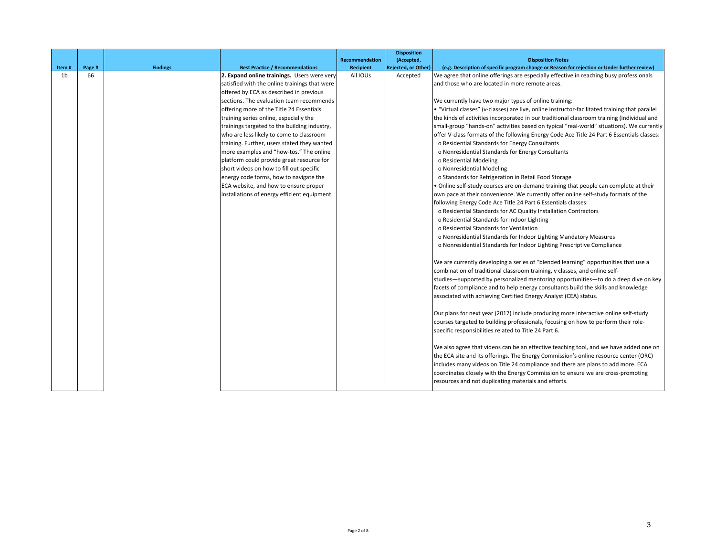|       |              |                 |                                               |                       | <b>Disposition</b>         |                                                                                                |
|-------|--------------|-----------------|-----------------------------------------------|-----------------------|----------------------------|------------------------------------------------------------------------------------------------|
|       |              |                 |                                               | <b>Recommendation</b> | (Accepted,                 | <b>Disposition Notes</b>                                                                       |
| Item# | Page #<br>66 | <b>Findings</b> | <b>Best Practice / Recommendations</b>        | <b>Recipient</b>      | <b>Rejected, or Other)</b> | (e.g. Description of specific program change or Reason for rejection or Under further review)  |
| 1b    |              |                 | 2. Expand online trainings. Users were very   | All IOUs              | Accepted                   | We agree that online offerings are especially effective in reaching busy professionals         |
|       |              |                 | satisfied with the online trainings that were |                       |                            | and those who are located in more remote areas.                                                |
|       |              |                 | offered by ECA as described in previous       |                       |                            |                                                                                                |
|       |              |                 | sections. The evaluation team recommends      |                       |                            | We currently have two major types of online training:                                          |
|       |              |                 | offering more of the Title 24 Essentials      |                       |                            | • "Virtual classes" (v-classes) are live, online instructor-facilitated training that parallel |
|       |              |                 | training series online, especially the        |                       |                            | the kinds of activities incorporated in our traditional classroom training (individual and     |
|       |              |                 | trainings targeted to the building industry,  |                       |                            | small-group "hands-on" activities based on typical "real-world" situations). We currently      |
|       |              |                 | who are less likely to come to classroom      |                       |                            | offer V-class formats of the following Energy Code Ace Title 24 Part 6 Essentials classes:     |
|       |              |                 | training. Further, users stated they wanted   |                       |                            | o Residential Standards for Energy Consultants                                                 |
|       |              |                 | more examples and "how-tos." The online       |                       |                            | o Nonresidential Standards for Energy Consultants                                              |
|       |              |                 | platform could provide great resource for     |                       |                            | o Residential Modeling                                                                         |
|       |              |                 | short videos on how to fill out specific      |                       |                            | o Nonresidential Modeling                                                                      |
|       |              |                 | energy code forms, how to navigate the        |                       |                            | o Standards for Refrigeration in Retail Food Storage                                           |
|       |              |                 | ECA website, and how to ensure proper         |                       |                            | . Online self-study courses are on-demand training that people can complete at their           |
|       |              |                 | installations of energy efficient equipment.  |                       |                            | own pace at their convenience. We currently offer online self-study formats of the             |
|       |              |                 |                                               |                       |                            | following Energy Code Ace Title 24 Part 6 Essentials classes:                                  |
|       |              |                 |                                               |                       |                            | o Residential Standards for AC Quality Installation Contractors                                |
|       |              |                 |                                               |                       |                            | o Residential Standards for Indoor Lighting                                                    |
|       |              |                 |                                               |                       |                            | o Residential Standards for Ventilation                                                        |
|       |              |                 |                                               |                       |                            | o Nonresidential Standards for Indoor Lighting Mandatory Measures                              |
|       |              |                 |                                               |                       |                            | o Nonresidential Standards for Indoor Lighting Prescriptive Compliance                         |
|       |              |                 |                                               |                       |                            | We are currently developing a series of "blended learning" opportunities that use a            |
|       |              |                 |                                               |                       |                            | combination of traditional classroom training, v classes, and online self-                     |
|       |              |                 |                                               |                       |                            | studies-supported by personalized mentoring opportunities-to do a deep dive on key             |
|       |              |                 |                                               |                       |                            | facets of compliance and to help energy consultants build the skills and knowledge             |
|       |              |                 |                                               |                       |                            | associated with achieving Certified Energy Analyst (CEA) status.                               |
|       |              |                 |                                               |                       |                            | Our plans for next year (2017) include producing more interactive online self-study            |
|       |              |                 |                                               |                       |                            | courses targeted to building professionals, focusing on how to perform their role-             |
|       |              |                 |                                               |                       |                            | specific responsibilities related to Title 24 Part 6.                                          |
|       |              |                 |                                               |                       |                            | We also agree that videos can be an effective teaching tool, and we have added one on          |
|       |              |                 |                                               |                       |                            | the ECA site and its offerings. The Energy Commission's online resource center (ORC)           |
|       |              |                 |                                               |                       |                            | includes many videos on Title 24 compliance and there are plans to add more. ECA               |
|       |              |                 |                                               |                       |                            | coordinates closely with the Energy Commission to ensure we are cross-promoting                |
|       |              |                 |                                               |                       |                            | resources and not duplicating materials and efforts.                                           |
|       |              |                 |                                               |                       |                            |                                                                                                |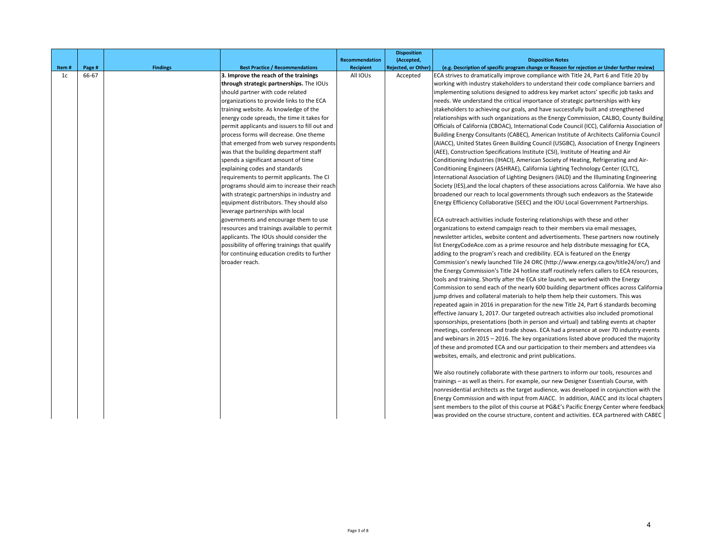|             |                 |                 |                                                                                 |                              | <b>Disposition</b>                     |                                                                                                                                                                                       |
|-------------|-----------------|-----------------|---------------------------------------------------------------------------------|------------------------------|----------------------------------------|---------------------------------------------------------------------------------------------------------------------------------------------------------------------------------------|
|             |                 |                 |                                                                                 | <b>Recommendation</b>        | (Accepted,                             | <b>Disposition Notes</b>                                                                                                                                                              |
| Item#<br>1c | Page #<br>66-67 | <b>Findings</b> | <b>Best Practice / Recommendations</b><br>3. Improve the reach of the trainings | <b>Recipient</b><br>All IOUs | <b>Rejected, or Other)</b><br>Accepted | (e.g. Description of specific program change or Reason for rejection or Under further review)<br>ECA strives to dramatically improve compliance with Title 24, Part 6 and Title 20 by |
|             |                 |                 | through strategic partnerships. The IOUs                                        |                              |                                        | working with industry stakeholders to understand their code compliance barriers and                                                                                                   |
|             |                 |                 | should partner with code related                                                |                              |                                        | implementing solutions designed to address key market actors' specific job tasks and                                                                                                  |
|             |                 |                 | organizations to provide links to the ECA                                       |                              |                                        | needs. We understand the critical importance of strategic partnerships with key                                                                                                       |
|             |                 |                 | training website. As knowledge of the                                           |                              |                                        | stakeholders to achieving our goals, and have successfully built and strengthened                                                                                                     |
|             |                 |                 | energy code spreads, the time it takes for                                      |                              |                                        | relationships with such organizations as the Energy Commission, CALBO, County Building                                                                                                |
|             |                 |                 | permit applicants and issuers to fill out and                                   |                              |                                        | Officials of California (CBOAC), International Code Council (ICC), California Association of                                                                                          |
|             |                 |                 | process forms will decrease. One theme                                          |                              |                                        | Building Energy Consultants (CABEC), American Institute of Architects California Council                                                                                              |
|             |                 |                 | that emerged from web survey respondents                                        |                              |                                        | (AIACC), United States Green Building Council (USGBC), Association of Energy Engineers                                                                                                |
|             |                 |                 | was that the building department staff                                          |                              |                                        | (AEE), Construction Specifications Institute (CSI), Institute of Heating and Air                                                                                                      |
|             |                 |                 | spends a significant amount of time                                             |                              |                                        | Conditioning Industries (IHACI), American Society of Heating, Refrigerating and Air-                                                                                                  |
|             |                 |                 | explaining codes and standards                                                  |                              |                                        | Conditioning Engineers (ASHRAE), California Lighting Technology Center (CLTC),                                                                                                        |
|             |                 |                 | requirements to permit applicants. The CI                                       |                              |                                        | International Association of Lighting Designers (IALD) and the Illuminating Engineering                                                                                               |
|             |                 |                 | programs should aim to increase their reach                                     |                              |                                        | Society (IES), and the local chapters of these associations across California. We have also                                                                                           |
|             |                 |                 | with strategic partnerships in industry and                                     |                              |                                        | broadened our reach to local governments through such endeavors as the Statewide                                                                                                      |
|             |                 |                 | equipment distributors. They should also                                        |                              |                                        | Energy Efficiency Collaborative (SEEC) and the IOU Local Government Partnerships.                                                                                                     |
|             |                 |                 | leverage partnerships with local                                                |                              |                                        |                                                                                                                                                                                       |
|             |                 |                 | governments and encourage them to use                                           |                              |                                        | ECA outreach activities include fostering relationships with these and other                                                                                                          |
|             |                 |                 | resources and trainings available to permit                                     |                              |                                        | organizations to extend campaign reach to their members via email messages,                                                                                                           |
|             |                 |                 | applicants. The IOUs should consider the                                        |                              |                                        | newsletter articles, website content and advertisements. These partners now routinely                                                                                                 |
|             |                 |                 | possibility of offering trainings that qualify                                  |                              |                                        | list EnergyCodeAce.com as a prime resource and help distribute messaging for ECA,                                                                                                     |
|             |                 |                 | for continuing education credits to further                                     |                              |                                        | adding to the program's reach and credibility. ECA is featured on the Energy                                                                                                          |
|             |                 |                 | broader reach.                                                                  |                              |                                        | Commission's newly launched Tile 24 ORC (http://www.energy.ca.gov/title24/orc/) and                                                                                                   |
|             |                 |                 |                                                                                 |                              |                                        | the Energy Commission's Title 24 hotline staff routinely refers callers to ECA resources,                                                                                             |
|             |                 |                 |                                                                                 |                              |                                        | tools and training. Shortly after the ECA site launch, we worked with the Energy                                                                                                      |
|             |                 |                 |                                                                                 |                              |                                        | Commission to send each of the nearly 600 building department offices across California                                                                                               |
|             |                 |                 |                                                                                 |                              |                                        | jump drives and collateral materials to help them help their customers. This was                                                                                                      |
|             |                 |                 |                                                                                 |                              |                                        | repeated again in 2016 in preparation for the new Title 24, Part 6 standards becoming                                                                                                 |
|             |                 |                 |                                                                                 |                              |                                        | effective January 1, 2017. Our targeted outreach activities also included promotional                                                                                                 |
|             |                 |                 |                                                                                 |                              |                                        | sponsorships, presentations (both in person and virtual) and tabling events at chapter                                                                                                |
|             |                 |                 |                                                                                 |                              |                                        | meetings, conferences and trade shows. ECA had a presence at over 70 industry events                                                                                                  |
|             |                 |                 |                                                                                 |                              |                                        | and webinars in 2015 - 2016. The key organizations listed above produced the majority                                                                                                 |
|             |                 |                 |                                                                                 |                              |                                        | of these and promoted ECA and our participation to their members and attendees via                                                                                                    |
|             |                 |                 |                                                                                 |                              |                                        | websites, emails, and electronic and print publications.                                                                                                                              |
|             |                 |                 |                                                                                 |                              |                                        |                                                                                                                                                                                       |
|             |                 |                 |                                                                                 |                              |                                        | We also routinely collaborate with these partners to inform our tools, resources and<br>trainings - as well as theirs. For example, our new Designer Essentials Course, with          |
|             |                 |                 |                                                                                 |                              |                                        | nonresidential architects as the target audience, was developed in conjunction with the                                                                                               |
|             |                 |                 |                                                                                 |                              |                                        | Energy Commission and with input from AIACC. In addition, AIACC and its local chapters                                                                                                |
|             |                 |                 |                                                                                 |                              |                                        | sent members to the pilot of this course at PG&E's Pacific Energy Center where feedback                                                                                               |
|             |                 |                 |                                                                                 |                              |                                        | was provided on the course structure, content and activities. ECA partnered with CABEC                                                                                                |
|             |                 |                 |                                                                                 |                              |                                        |                                                                                                                                                                                       |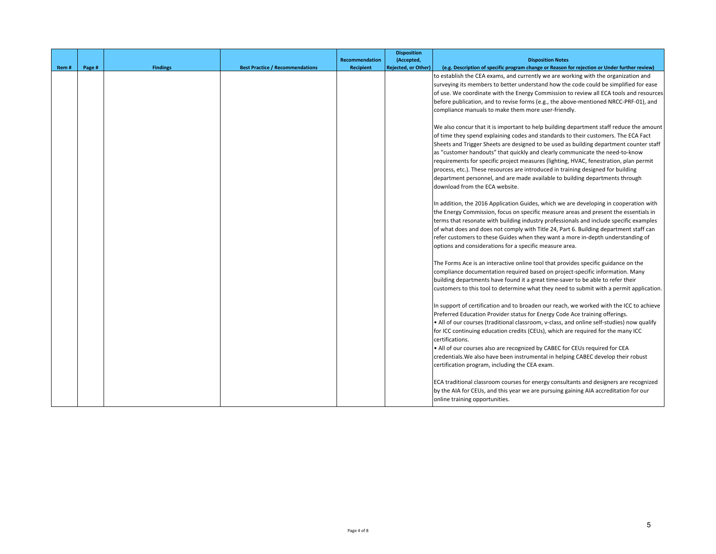|       |        |                 |                                        |                       | <b>Disposition</b>         |                                                                                               |
|-------|--------|-----------------|----------------------------------------|-----------------------|----------------------------|-----------------------------------------------------------------------------------------------|
|       |        |                 |                                        | <b>Recommendation</b> | (Accepted,                 | <b>Disposition Notes</b>                                                                      |
| Item# | Page # | <b>Findings</b> | <b>Best Practice / Recommendations</b> | <b>Recipient</b>      | <b>Rejected, or Other)</b> | (e.g. Description of specific program change or Reason for rejection or Under further review) |
|       |        |                 |                                        |                       |                            | to establish the CEA exams, and currently we are working with the organization and            |
|       |        |                 |                                        |                       |                            | surveying its members to better understand how the code could be simplified for ease          |
|       |        |                 |                                        |                       |                            | of use. We coordinate with the Energy Commission to review all ECA tools and resources        |
|       |        |                 |                                        |                       |                            | before publication, and to revise forms (e.g., the above-mentioned NRCC-PRF-01), and          |
|       |        |                 |                                        |                       |                            | compliance manuals to make them more user-friendly.                                           |
|       |        |                 |                                        |                       |                            |                                                                                               |
|       |        |                 |                                        |                       |                            | We also concur that it is important to help building department staff reduce the amount       |
|       |        |                 |                                        |                       |                            | of time they spend explaining codes and standards to their customers. The ECA Fact            |
|       |        |                 |                                        |                       |                            | Sheets and Trigger Sheets are designed to be used as building department counter staff        |
|       |        |                 |                                        |                       |                            | as "customer handouts" that quickly and clearly communicate the need-to-know                  |
|       |        |                 |                                        |                       |                            | requirements for specific project measures (lighting, HVAC, fenestration, plan permit         |
|       |        |                 |                                        |                       |                            | process, etc.). These resources are introduced in training designed for building              |
|       |        |                 |                                        |                       |                            | department personnel, and are made available to building departments through                  |
|       |        |                 |                                        |                       |                            | download from the ECA website.                                                                |
|       |        |                 |                                        |                       |                            |                                                                                               |
|       |        |                 |                                        |                       |                            | In addition, the 2016 Application Guides, which we are developing in cooperation with         |
|       |        |                 |                                        |                       |                            |                                                                                               |
|       |        |                 |                                        |                       |                            | the Energy Commission, focus on specific measure areas and present the essentials in          |
|       |        |                 |                                        |                       |                            | terms that resonate with building industry professionals and include specific examples        |
|       |        |                 |                                        |                       |                            | of what does and does not comply with Title 24, Part 6. Building department staff can         |
|       |        |                 |                                        |                       |                            | refer customers to these Guides when they want a more in-depth understanding of               |
|       |        |                 |                                        |                       |                            | options and considerations for a specific measure area.                                       |
|       |        |                 |                                        |                       |                            | The Forms Ace is an interactive online tool that provides specific guidance on the            |
|       |        |                 |                                        |                       |                            | compliance documentation required based on project-specific information. Many                 |
|       |        |                 |                                        |                       |                            | building departments have found it a great time-saver to be able to refer their               |
|       |        |                 |                                        |                       |                            | customers to this tool to determine what they need to submit with a permit application.       |
|       |        |                 |                                        |                       |                            | In support of certification and to broaden our reach, we worked with the ICC to achieve       |
|       |        |                 |                                        |                       |                            | Preferred Education Provider status for Energy Code Ace training offerings.                   |
|       |        |                 |                                        |                       |                            | . All of our courses (traditional classroom, v-class, and online self-studies) now qualify    |
|       |        |                 |                                        |                       |                            | for ICC continuing education credits (CEUs), which are required for the many ICC              |
|       |        |                 |                                        |                       |                            | certifications.                                                                               |
|       |        |                 |                                        |                       |                            | • All of our courses also are recognized by CABEC for CEUs required for CEA                   |
|       |        |                 |                                        |                       |                            | credentials. We also have been instrumental in helping CABEC develop their robust             |
|       |        |                 |                                        |                       |                            |                                                                                               |
|       |        |                 |                                        |                       |                            | certification program, including the CEA exam.                                                |
|       |        |                 |                                        |                       |                            | ECA traditional classroom courses for energy consultants and designers are recognized         |
|       |        |                 |                                        |                       |                            | by the AIA for CEUs, and this year we are pursuing gaining AIA accreditation for our          |
|       |        |                 |                                        |                       |                            |                                                                                               |
|       |        |                 |                                        |                       |                            | online training opportunities.                                                                |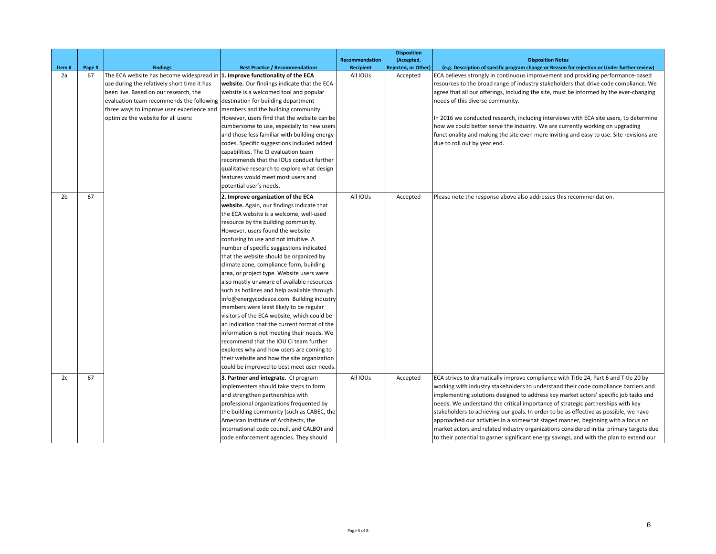| Item#          | Page # | <b>Findings</b>                                                              | <b>Best Practice / Recommendations</b>                                               | Recommendation<br><b>Recipient</b> | <b>Disposition</b><br>(Accepted,<br><b>Rejected, or Other)</b> | <b>Disposition Notes</b><br>(e.g. Description of specific program change or Reason for rejection or Under further review) |
|----------------|--------|------------------------------------------------------------------------------|--------------------------------------------------------------------------------------|------------------------------------|----------------------------------------------------------------|---------------------------------------------------------------------------------------------------------------------------|
| 2a             | 67     | The ECA website has become widespread in 1. Improve functionality of the ECA |                                                                                      | All IOUs                           | Accepted                                                       | ECA believes strongly in continuous improvement and providing performance-based                                           |
|                |        | use during the relatively short time it has                                  | website. Our findings indicate that the ECA                                          |                                    |                                                                | resources to the broad range of industry stakeholders that drive code compliance. We                                      |
|                |        | been live. Based on our research, the                                        | website is a welcomed tool and popular                                               |                                    |                                                                | agree that all our offerings, including the site, must be informed by the ever-changing                                   |
|                |        | evaluation team recommends the following destination for building department |                                                                                      |                                    |                                                                | needs of this diverse community.                                                                                          |
|                |        | three ways to improve user experience and                                    | members and the building community.                                                  |                                    |                                                                |                                                                                                                           |
|                |        | optimize the website for all users:                                          | However, users find that the website can be                                          |                                    |                                                                | In 2016 we conducted research, including interviews with ECA site users, to determine                                     |
|                |        |                                                                              | cumbersome to use, especially to new users                                           |                                    |                                                                | how we could better serve the industry. We are currently working on upgrading                                             |
|                |        |                                                                              | and those less familiar with building energy                                         |                                    |                                                                | functionality and making the site even more inviting and easy to use. Site revisions are                                  |
|                |        |                                                                              | codes. Specific suggestions included added                                           |                                    |                                                                | due to roll out by year end.                                                                                              |
|                |        |                                                                              | capabilities. The CI evaluation team                                                 |                                    |                                                                |                                                                                                                           |
|                |        |                                                                              | recommends that the IOUs conduct further                                             |                                    |                                                                |                                                                                                                           |
|                |        |                                                                              | qualitative research to explore what design                                          |                                    |                                                                |                                                                                                                           |
|                |        |                                                                              | features would meet most users and                                                   |                                    |                                                                |                                                                                                                           |
|                |        |                                                                              | potential user's needs.                                                              |                                    |                                                                |                                                                                                                           |
| 2 <sub>b</sub> | 67     |                                                                              | 2. Improve organization of the ECA                                                   | All IOUs                           | Accepted                                                       | Please note the response above also addresses this recommendation.                                                        |
|                |        |                                                                              | website. Again, our findings indicate that                                           |                                    |                                                                |                                                                                                                           |
|                |        |                                                                              | the ECA website is a welcome, well-used                                              |                                    |                                                                |                                                                                                                           |
|                |        |                                                                              | resource by the building community.                                                  |                                    |                                                                |                                                                                                                           |
|                |        |                                                                              | However, users found the website                                                     |                                    |                                                                |                                                                                                                           |
|                |        |                                                                              | confusing to use and not intuitive. A                                                |                                    |                                                                |                                                                                                                           |
|                |        |                                                                              | number of specific suggestions indicated                                             |                                    |                                                                |                                                                                                                           |
|                |        |                                                                              | that the website should be organized by                                              |                                    |                                                                |                                                                                                                           |
|                |        |                                                                              | climate zone, compliance form, building                                              |                                    |                                                                |                                                                                                                           |
|                |        |                                                                              | area, or project type. Website users were                                            |                                    |                                                                |                                                                                                                           |
|                |        |                                                                              | also mostly unaware of available resources                                           |                                    |                                                                |                                                                                                                           |
|                |        |                                                                              | such as hotlines and help available through                                          |                                    |                                                                |                                                                                                                           |
|                |        |                                                                              | info@energycodeace.com. Building industry<br>members were least likely to be regular |                                    |                                                                |                                                                                                                           |
|                |        |                                                                              | visitors of the ECA website, which could be                                          |                                    |                                                                |                                                                                                                           |
|                |        |                                                                              | an indication that the current format of the                                         |                                    |                                                                |                                                                                                                           |
|                |        |                                                                              | information is not meeting their needs. We                                           |                                    |                                                                |                                                                                                                           |
|                |        |                                                                              | recommend that the IOU CI team further                                               |                                    |                                                                |                                                                                                                           |
|                |        |                                                                              | explores why and how users are coming to                                             |                                    |                                                                |                                                                                                                           |
|                |        |                                                                              | their website and how the site organization                                          |                                    |                                                                |                                                                                                                           |
|                |        |                                                                              | could be improved to best meet user needs.                                           |                                    |                                                                |                                                                                                                           |
| 2c             | 67     |                                                                              | 3. Partner and integrate. CI program                                                 | All IOUs                           | Accepted                                                       | ECA strives to dramatically improve compliance with Title 24, Part 6 and Title 20 by                                      |
|                |        |                                                                              | mplementers should take steps to form                                                |                                    |                                                                | working with industry stakeholders to understand their code compliance barriers and                                       |
|                |        |                                                                              | and strengthen partnerships with                                                     |                                    |                                                                | implementing solutions designed to address key market actors' specific job tasks and                                      |
|                |        |                                                                              | professional organizations frequented by                                             |                                    |                                                                | needs. We understand the critical importance of strategic partnerships with key                                           |
|                |        |                                                                              | the building community (such as CABEC, the                                           |                                    |                                                                | stakeholders to achieving our goals. In order to be as effective as possible, we have                                     |
|                |        |                                                                              | American Institute of Architects, the                                                |                                    |                                                                | approached our activities in a somewhat staged manner, beginning with a focus on                                          |
|                |        |                                                                              | international code council, and CALBO) and                                           |                                    |                                                                | market actors and related industry organizations considered initial primary targets due                                   |
|                |        |                                                                              | code enforcement agencies. They should                                               |                                    |                                                                | to their potential to garner significant energy savings, and with the plan to extend our                                  |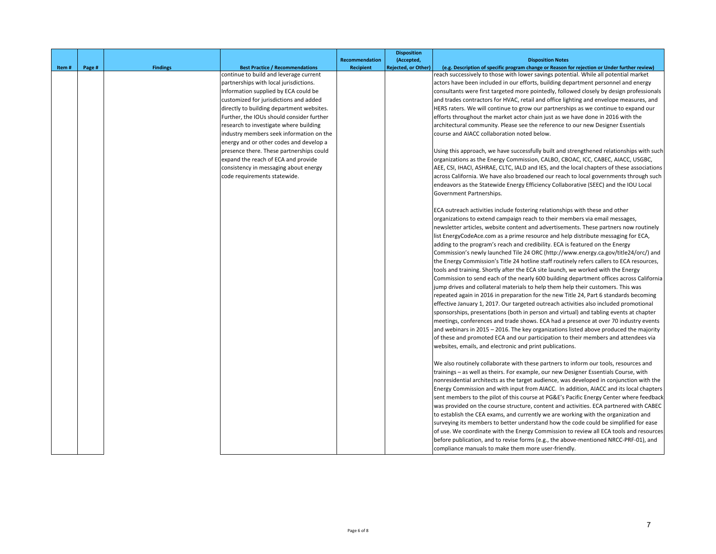|       |        |                 |                                           |                             | <b>Disposition</b>                       |                                                                                                                           |
|-------|--------|-----------------|-------------------------------------------|-----------------------------|------------------------------------------|---------------------------------------------------------------------------------------------------------------------------|
|       | Page # | <b>Findings</b> | <b>Best Practice / Recommendations</b>    | Recommendation<br>Recipient | (Accepted,<br><b>Rejected, or Other)</b> | <b>Disposition Notes</b><br>(e.g. Description of specific program change or Reason for rejection or Under further review) |
| Item# |        |                 | continue to build and leverage current    |                             |                                          | reach successively to those with lower savings potential. While all potential market                                      |
|       |        |                 | partnerships with local jurisdictions.    |                             |                                          | actors have been included in our efforts, building department personnel and energy                                        |
|       |        |                 | Information supplied by ECA could be      |                             |                                          | consultants were first targeted more pointedly, followed closely by design professionals                                  |
|       |        |                 | customized for jurisdictions and added    |                             |                                          | and trades contractors for HVAC, retail and office lighting and envelope measures, and                                    |
|       |        |                 | directly to building department websites. |                             |                                          | HERS raters. We will continue to grow our partnerships as we continue to expand our                                       |
|       |        |                 | Further, the IOUs should consider further |                             |                                          | efforts throughout the market actor chain just as we have done in 2016 with the                                           |
|       |        |                 | research to investigate where building    |                             |                                          | architectural community. Please see the reference to our new Designer Essentials                                          |
|       |        |                 | industry members seek information on the  |                             |                                          | course and AIACC collaboration noted below.                                                                               |
|       |        |                 | energy and or other codes and develop a   |                             |                                          |                                                                                                                           |
|       |        |                 | presence there. These partnerships could  |                             |                                          | Using this approach, we have successfully built and strengthened relationships with such                                  |
|       |        |                 | expand the reach of ECA and provide       |                             |                                          | organizations as the Energy Commission, CALBO, CBOAC, ICC, CABEC, AIACC, USGBC,                                           |
|       |        |                 | consistency in messaging about energy     |                             |                                          | AEE, CSI, IHACI, ASHRAE, CLTC, IALD and IES, and the local chapters of these associations                                 |
|       |        |                 | code requirements statewide.              |                             |                                          | across California. We have also broadened our reach to local governments through such                                     |
|       |        |                 |                                           |                             |                                          | endeavors as the Statewide Energy Efficiency Collaborative (SEEC) and the IOU Local                                       |
|       |        |                 |                                           |                             |                                          | Government Partnerships.                                                                                                  |
|       |        |                 |                                           |                             |                                          | ECA outreach activities include fostering relationships with these and other                                              |
|       |        |                 |                                           |                             |                                          | organizations to extend campaign reach to their members via email messages,                                               |
|       |        |                 |                                           |                             |                                          | newsletter articles, website content and advertisements. These partners now routinely                                     |
|       |        |                 |                                           |                             |                                          | list EnergyCodeAce.com as a prime resource and help distribute messaging for ECA,                                         |
|       |        |                 |                                           |                             |                                          | adding to the program's reach and credibility. ECA is featured on the Energy                                              |
|       |        |                 |                                           |                             |                                          | Commission's newly launched Tile 24 ORC (http://www.energy.ca.gov/title24/orc/) and                                       |
|       |        |                 |                                           |                             |                                          | the Energy Commission's Title 24 hotline staff routinely refers callers to ECA resources,                                 |
|       |        |                 |                                           |                             |                                          | tools and training. Shortly after the ECA site launch, we worked with the Energy                                          |
|       |        |                 |                                           |                             |                                          | Commission to send each of the nearly 600 building department offices across California                                   |
|       |        |                 |                                           |                             |                                          | jump drives and collateral materials to help them help their customers. This was                                          |
|       |        |                 |                                           |                             |                                          | repeated again in 2016 in preparation for the new Title 24, Part 6 standards becoming                                     |
|       |        |                 |                                           |                             |                                          | effective January 1, 2017. Our targeted outreach activities also included promotional                                     |
|       |        |                 |                                           |                             |                                          | sponsorships, presentations (both in person and virtual) and tabling events at chapter                                    |
|       |        |                 |                                           |                             |                                          | meetings, conferences and trade shows. ECA had a presence at over 70 industry events                                      |
|       |        |                 |                                           |                             |                                          | and webinars in 2015 - 2016. The key organizations listed above produced the majority                                     |
|       |        |                 |                                           |                             |                                          | of these and promoted ECA and our participation to their members and attendees via                                        |
|       |        |                 |                                           |                             |                                          | websites, emails, and electronic and print publications.                                                                  |
|       |        |                 |                                           |                             |                                          | We also routinely collaborate with these partners to inform our tools, resources and                                      |
|       |        |                 |                                           |                             |                                          | trainings - as well as theirs. For example, our new Designer Essentials Course, with                                      |
|       |        |                 |                                           |                             |                                          | nonresidential architects as the target audience, was developed in conjunction with the                                   |
|       |        |                 |                                           |                             |                                          | Energy Commission and with input from AIACC. In addition, AIACC and its local chapters                                    |
|       |        |                 |                                           |                             |                                          | sent members to the pilot of this course at PG&E's Pacific Energy Center where feedback                                   |
|       |        |                 |                                           |                             |                                          | was provided on the course structure, content and activities. ECA partnered with CABEC                                    |
|       |        |                 |                                           |                             |                                          | to establish the CEA exams, and currently we are working with the organization and                                        |
|       |        |                 |                                           |                             |                                          | surveying its members to better understand how the code could be simplified for ease                                      |
|       |        |                 |                                           |                             |                                          | of use. We coordinate with the Energy Commission to review all ECA tools and resources                                    |
|       |        |                 |                                           |                             |                                          | before publication, and to revise forms (e.g., the above-mentioned NRCC-PRF-01), and                                      |
|       |        |                 |                                           |                             |                                          | compliance manuals to make them more user-friendly.                                                                       |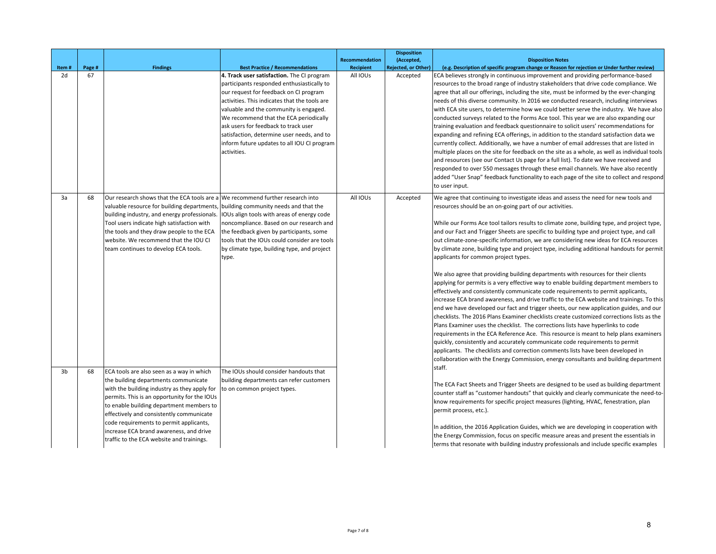|       |        |                                                                                                                                                                                                                                                                                                                                                                                                              |                                                                                                                                                                                                                                                                                                                                                                                                                             | <b>Recommendation</b> | <b>Disposition</b><br>(Accepted, | <b>Disposition Notes</b>                                                                                                                                                                                                                                                                                                                                                                                                                                                                                                                                                                                                                                                                                                                                                                                                                                                                                                                                                                                                                                                                                                                                                                                                                                                                                                                                                                                                                                                                                                                                                        |
|-------|--------|--------------------------------------------------------------------------------------------------------------------------------------------------------------------------------------------------------------------------------------------------------------------------------------------------------------------------------------------------------------------------------------------------------------|-----------------------------------------------------------------------------------------------------------------------------------------------------------------------------------------------------------------------------------------------------------------------------------------------------------------------------------------------------------------------------------------------------------------------------|-----------------------|----------------------------------|---------------------------------------------------------------------------------------------------------------------------------------------------------------------------------------------------------------------------------------------------------------------------------------------------------------------------------------------------------------------------------------------------------------------------------------------------------------------------------------------------------------------------------------------------------------------------------------------------------------------------------------------------------------------------------------------------------------------------------------------------------------------------------------------------------------------------------------------------------------------------------------------------------------------------------------------------------------------------------------------------------------------------------------------------------------------------------------------------------------------------------------------------------------------------------------------------------------------------------------------------------------------------------------------------------------------------------------------------------------------------------------------------------------------------------------------------------------------------------------------------------------------------------------------------------------------------------|
| Item# | Page # | <b>Findings</b>                                                                                                                                                                                                                                                                                                                                                                                              | <b>Best Practice / Recommendations</b>                                                                                                                                                                                                                                                                                                                                                                                      | <b>Recipient</b>      | <b>Rejected, or Other)</b>       | (e.g. Description of specific program change or Reason for rejection or Under further review)                                                                                                                                                                                                                                                                                                                                                                                                                                                                                                                                                                                                                                                                                                                                                                                                                                                                                                                                                                                                                                                                                                                                                                                                                                                                                                                                                                                                                                                                                   |
| 2d    | 67     |                                                                                                                                                                                                                                                                                                                                                                                                              | 4. Track user satisfaction. The CI program<br>participants responded enthusiastically to<br>our request for feedback on CI program<br>activities. This indicates that the tools are<br>valuable and the community is engaged.<br>We recommend that the ECA periodically<br>ask users for feedback to track user<br>satisfaction, determine user needs, and to<br>inform future updates to all IOU CI program<br>activities. | All IOUs              | Accepted                         | ECA believes strongly in continuous improvement and providing performance-based<br>resources to the broad range of industry stakeholders that drive code compliance. We<br>agree that all our offerings, including the site, must be informed by the ever-changing<br>needs of this diverse community. In 2016 we conducted research, including interviews<br>with ECA site users, to determine how we could better serve the industry. We have also<br>conducted surveys related to the Forms Ace tool. This year we are also expanding our<br>training evaluation and feedback questionnaire to solicit users' recommendations for<br>expanding and refining ECA offerings, in addition to the standard satisfaction data we<br>currently collect. Additionally, we have a number of email addresses that are listed in<br>multiple places on the site for feedback on the site as a whole, as well as individual tools<br>and resources (see our Contact Us page for a full list). To date we have received and<br>responded to over 550 messages through these email channels. We have also recently<br>added "User Snap" feedback functionality to each page of the site to collect and respond                                                                                                                                                                                                                                                                                                                                                                            |
|       |        |                                                                                                                                                                                                                                                                                                                                                                                                              |                                                                                                                                                                                                                                                                                                                                                                                                                             |                       |                                  | to user input.                                                                                                                                                                                                                                                                                                                                                                                                                                                                                                                                                                                                                                                                                                                                                                                                                                                                                                                                                                                                                                                                                                                                                                                                                                                                                                                                                                                                                                                                                                                                                                  |
| За    | 68     | Our research shows that the ECA tools are a We recommend further research into<br>valuable resource for building departments,<br>building industry, and energy professionals.<br>Tool users indicate high satisfaction with<br>the tools and they draw people to the ECA<br>website. We recommend that the IOU CI<br>team continues to develop ECA tools.                                                    | building community needs and that the<br>IOUs align tools with areas of energy code<br>noncompliance. Based on our research and<br>the feedback given by participants, some<br>tools that the IOUs could consider are tools<br>by climate type, building type, and project<br>type.                                                                                                                                         | All IOUs              | Accepted                         | We agree that continuing to investigate ideas and assess the need for new tools and<br>resources should be an on-going part of our activities.<br>While our Forms Ace tool tailors results to climate zone, building type, and project type,<br>and our Fact and Trigger Sheets are specific to building type and project type, and call<br>out climate-zone-specific information, we are considering new ideas for ECA resources<br>by climate zone, building type and project type, including additional handouts for permit<br>applicants for common project types.<br>We also agree that providing building departments with resources for their clients<br>applying for permits is a very effective way to enable building department members to<br>effectively and consistently communicate code requirements to permit applicants,<br>increase ECA brand awareness, and drive traffic to the ECA website and trainings. To this<br>end we have developed our fact and trigger sheets, our new application guides, and our<br>checklists. The 2016 Plans Examiner checklists create customized corrections lists as the<br>Plans Examiner uses the checklist. The corrections lists have hyperlinks to code<br>requirements in the ECA Reference Ace. This resource is meant to help plans examiners<br>quickly, consistently and accurately communicate code requirements to permit<br>applicants. The checklists and correction comments lists have been developed in<br>collaboration with the Energy Commission, energy consultants and building department<br>staff. |
| 3b    | 68     | ECA tools are also seen as a way in which<br>the building departments communicate<br>with the building industry as they apply for<br>permits. This is an opportunity for the IOUs<br>to enable building department members to<br>effectively and consistently communicate<br>code requirements to permit applicants,<br>increase ECA brand awareness, and drive<br>traffic to the ECA website and trainings. | The IOUs should consider handouts that<br>building departments can refer customers<br>to on common project types.                                                                                                                                                                                                                                                                                                           |                       |                                  | The ECA Fact Sheets and Trigger Sheets are designed to be used as building department<br>counter staff as "customer handouts" that quickly and clearly communicate the need-to-<br>know requirements for specific project measures (lighting, HVAC, fenestration, plan<br>permit process, etc.).<br>In addition, the 2016 Application Guides, which we are developing in cooperation with<br>the Energy Commission, focus on specific measure areas and present the essentials in<br>terms that resonate with building industry professionals and include specific examples                                                                                                                                                                                                                                                                                                                                                                                                                                                                                                                                                                                                                                                                                                                                                                                                                                                                                                                                                                                                     |